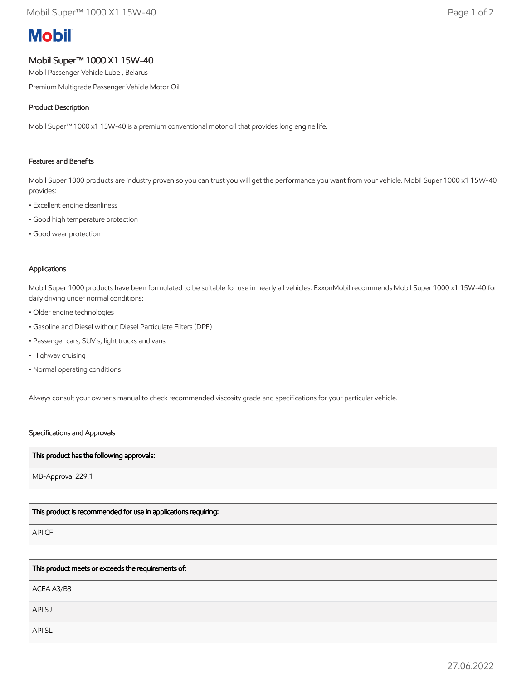# **Mobil**

# Mobil Super™ 1000 X1 15W-40

Mobil Passenger Vehicle Lube , Belarus

Premium Multigrade Passenger Vehicle Motor Oil

### Product Description

Mobil Super™ 1000 x1 15W-40 is a premium conventional motor oil that provides long engine life.

#### Features and Benefits

Mobil Super 1000 products are industry proven so you can trust you will get the performance you want from your vehicle. Mobil Super 1000 x1 15W-40 provides:

- Excellent engine cleanliness
- Good high temperature protection
- Good wear protection

#### Applications

Mobil Super 1000 products have been formulated to be suitable for use in nearly all vehicles. ExxonMobil recommends Mobil Super 1000 x1 15W-40 for daily driving under normal conditions:

- Older engine technologies
- Gasoline and Diesel without Diesel Particulate Filters (DPF)
- Passenger cars, SUV's, light trucks and vans
- Highway cruising
- Normal operating conditions

Always consult your owner's manual to check recommended viscosity grade and specifications for your particular vehicle.

#### Specifications and Approvals

#### This product has the following approvals:

MB-Approval 229.1

## This product is recommended for use in applications requiring:

API CF

This product meets or exceeds the requirements of:

ACEA A3/B3

API SJ

API SL